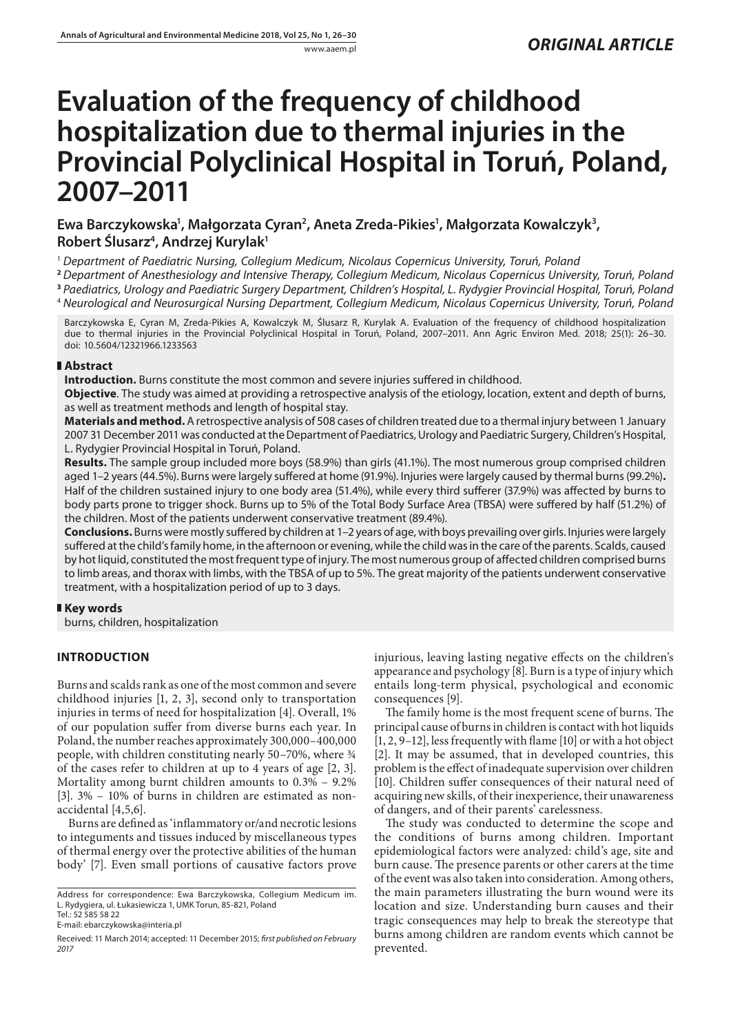# **Evaluation of the frequency of childhood hospitalization due to thermal injuries in the Provincial Polyclinical Hospital in Toruń, Poland, 2007–2011**

Ewa Barczykowska<sup>1</sup>, Małgorzata Cyran<sup>2</sup>, Aneta Zreda-Pikies<sup>1</sup>, Małgorzata Kowalczyk<sup>3</sup>, **Robert Ślusarz4 , Andrzej Kurylak1**

<sup>1</sup> *Department of Paediatric Nursing, Collegium Medicum, Nicolaus Copernicus University, Toruń, Poland*

**<sup>2</sup>** *Department of Anesthesiology and Intensive Therapy, Collegium Medicum, Nicolaus Copernicus University, Toruń, Poland* **<sup>3</sup>** *Paediatrics, Urology and Paediatric Surgery Department, Children's Hospital, L. Rydygier Provincial Hospital, Toruń, Poland*

<sup>4</sup> *Neurological and Neurosurgical Nursing Department, Collegium Medicum, Nicolaus Copernicus University, Toruń, Poland*

Barczykowska E, Cyran M, Zreda-Pikies A, Kowalczyk M, Ślusarz R, Kurylak A. Evaluation of the frequency of childhood hospitalization due to thermal injuries in the Provincial Polyclinical Hospital in Toruń, Poland, 2007–2011. Ann Agric Environ Med. 2018; 25(1): 26–30. doi: 10.5604/12321966.1233563

# **Abstract**

**Introduction.** Burns constitute the most common and severe injuries suffered in childhood.

**Objective**. The study was aimed at providing a retrospective analysis of the etiology, location, extent and depth of burns, as well as treatment methods and length of hospital stay.

**Materials and method.** A retrospective analysis of 508 cases of children treated due to a thermal injury between 1 January 2007 31 December 2011 was conducted at the Department of Paediatrics, Urology and Paediatric Surgery, Children's Hospital, L. Rydygier Provincial Hospital in Toruń, Poland.

**Results.** The sample group included more boys (58.9%) than girls (41.1%). The most numerous group comprised children aged 1–2 years (44.5%). Burns were largely suffered at home (91.9%). Injuries were largely caused by thermal burns (99.2%)**.**  Half of the children sustained injury to one body area (51.4%), while every third sufferer (37.9%) was affected by burns to body parts prone to trigger shock. Burns up to 5% of the Total Body Surface Area (TBSA) were suffered by half (51.2%) of the children. Most of the patients underwent conservative treatment (89.4%).

**Conclusions.** Burns were mostly suffered by children at 1–2 years of age, with boys prevailing over girls. Injuries were largely suffered at the child's family home, in the afternoon or evening, while the child was in the care of the parents. Scalds, caused by hot liquid, constituted the most frequent type of injury. The most numerous group of affected children comprised burns to limb areas, and thorax with limbs, with the TBSA of up to 5%. The great majority of the patients underwent conservative treatment, with a hospitalization period of up to 3 days.

# **Key words**

burns, children, hospitalization

# **INTRODUCTION**

Burns and scalds rank as one of the most common and severe childhood injuries [1, 2, 3], second only to transportation injuries in terms of need for hospitalization [4]. Overall, 1% of our population suffer from diverse burns each year. In Poland, the number reaches approximately 300,000–400,000 people, with children constituting nearly 50–70%, where ¾ of the cases refer to children at up to 4 years of age [2, 3]. Mortality among burnt children amounts to 0.3% – 9.2% [3]. 3% – 10% of burns in children are estimated as nonaccidental [4,5,6].

Burns are defined as 'inflammatory or/and necrotic lesions to integuments and tissues induced by miscellaneous types of thermal energy over the protective abilities of the human body' [7]. Even small portions of causative factors prove

Tel.: 52 585 58 22 E-mail: [ebarczykowska@interia.pl](mailto:ebarczykowska@interia.pl) injurious, leaving lasting negative effects on the children's appearance and psychology [8]. Burn is a type of injury which entails long-term physical, psychological and economic consequences [9].

The family home is the most frequent scene of burns. The principal cause of burns in children is contact with hot liquids [1, 2, 9–12], less frequently with flame [10] or with a hot object [2]. It may be assumed, that in developed countries, this problem is the effect of inadequate supervision over children [10]. Children suffer consequences of their natural need of acquiring new skills, of their inexperience, their unawareness of dangers, and of their parents' carelessness.

The study was conducted to determine the scope and the conditions of burns among children. Important epidemiological factors were analyzed: child's age, site and burn cause. The presence parents or other carers at the time of the event was also taken into consideration. Among others, the main parameters illustrating the burn wound were its location and size. Understanding burn causes and their tragic consequences may help to break the stereotype that burns among children are random events which cannot be prevented.

Address for correspondence: Ewa Barczykowska, Collegium Medicum im. L. Rydygiera, ul. Łukasiewicza 1, UMK Torun, 85-821, Poland

Received: 11 March 2014; accepted: 11 December 2015; *first published on February 2017*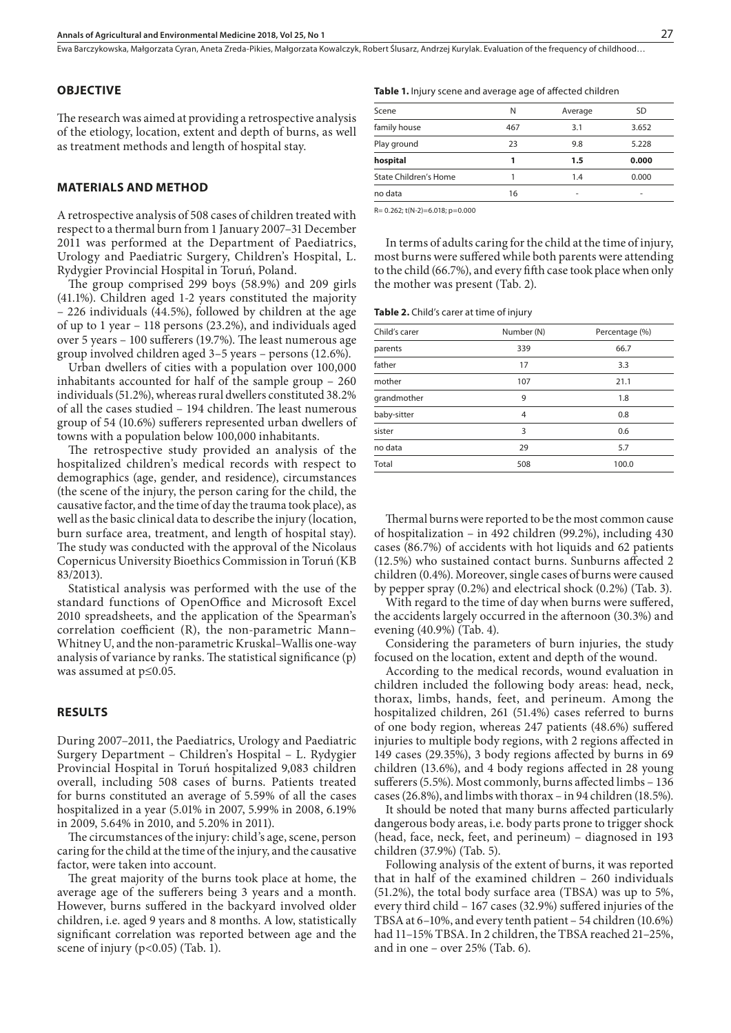Ewa Barczykowska, Małgorzata Cyran, Aneta Zreda-Pikies, Małgorzata Kowalczyk, Robert Ślusarz, Andrzej Kurylak . Evaluation of the frequency of childhood…

## **OBJECTIVE**

The research was aimed at providing a retrospective analysis of the etiology, location, extent and depth of burns, as well as treatment methods and length of hospital stay.

## **MATERIALS AND METHOD**

A retrospective analysis of 508 cases of children treated with respect to a thermal burn from 1 January 2007–31 December 2011 was performed at the Department of Paediatrics, Urology and Paediatric Surgery, Children's Hospital, L. Rydygier Provincial Hospital in Toruń, Poland.

The group comprised 299 boys (58.9%) and 209 girls (41.1%). Children aged 1-2 years constituted the majority – 226 individuals (44.5%), followed by children at the age of up to 1 year – 118 persons (23.2%), and individuals aged over 5 years – 100 sufferers (19.7%). The least numerous age group involved children aged 3–5 years – persons (12.6%).

Urban dwellers of cities with a population over 100,000 inhabitants accounted for half of the sample group – 260 individuals (51.2%), whereas rural dwellers constituted 38.2% of all the cases studied – 194 children. The least numerous group of 54 (10.6%) sufferers represented urban dwellers of towns with a population below 100,000 inhabitants.

The retrospective study provided an analysis of the hospitalized children's medical records with respect to demographics (age, gender, and residence), circumstances (the scene of the injury, the person caring for the child, the causative factor, and the time of day the trauma took place), as well as the basic clinical data to describe the injury (location, burn surface area, treatment, and length of hospital stay). The study was conducted with the approval of the Nicolaus Copernicus University Bioethics Commission in Toruń (KB 83/2013).

Statistical analysis was performed with the use of the standard functions of OpenOffice and Microsoft Excel 2010 spreadsheets, and the application of the Spearman's correlation coefficient (R), the non-parametric Mann– Whitney U, and the non-parametric Kruskal–Wallis one-way analysis of variance by ranks. The statistical significance (p) was assumed at p≤0.05.

# **RESULTS**

During 2007–2011, the Paediatrics, Urology and Paediatric Surgery Department – Children's Hospital – L. Rydygier Provincial Hospital in Toruń hospitalized 9,083 children overall, including 508 cases of burns. Patients treated for burns constituted an average of 5.59% of all the cases hospitalized in a year (5.01% in 2007, 5.99% in 2008, 6.19% in 2009, 5.64% in 2010, and 5.20% in 2011).

The circumstances of the injury: child's age, scene, person caring for the child at the time of the injury, and the causative factor, were taken into account.

The great majority of the burns took place at home, the average age of the sufferers being 3 years and a month. However, burns suffered in the backyard involved older children, i.e. aged 9 years and 8 months. A low, statistically significant correlation was reported between age and the scene of injury (p<0.05) (Tab. 1).

#### **Table 1.** Injury scene and average age of affected children

| Scene                 | N   | Average | SD    |
|-----------------------|-----|---------|-------|
| family house          | 467 | 3.1     | 3.652 |
| Play ground           | 23  | 9.8     | 5.228 |
| hospital              |     | $1.5\,$ | 0.000 |
| State Children's Home |     | 1.4     | 0.000 |
| no data               | 16  | ۰       | ۰     |

R= 0.262; t(N-2)=6.018; p=0.000

In terms of adults caring for the child at the time of injury, most burns were suffered while both parents were attending to the child (66.7%), and every fifth case took place when only the mother was present (Tab. 2).

**Table 2.** Child's carer at time of injury

| Child's carer | Number (N) | Percentage (%) |  |  |
|---------------|------------|----------------|--|--|
| parents       | 339        | 66.7           |  |  |
| father        | 17         | 3.3            |  |  |
| mother        | 107        | 21.1           |  |  |
| grandmother   | 9          | 1.8            |  |  |
| baby-sitter   | 4          | 0.8            |  |  |
| sister        | 3          | 0.6            |  |  |
| no data       | 29         | 5.7            |  |  |
| Total         | 508        | 100.0          |  |  |

Thermal burns were reported to be the most common cause of hospitalization – in 492 children (99.2%), including 430 cases (86.7%) of accidents with hot liquids and 62 patients (12.5%) who sustained contact burns. Sunburns affected 2 children (0.4%). Moreover, single cases of burns were caused by pepper spray (0.2%) and electrical shock (0.2%) (Tab. 3).

With regard to the time of day when burns were suffered, the accidents largely occurred in the afternoon (30.3%) and evening (40.9%) (Tab. 4).

Considering the parameters of burn injuries, the study focused on the location, extent and depth of the wound.

According to the medical records, wound evaluation in children included the following body areas: head, neck, thorax, limbs, hands, feet, and perineum. Among the hospitalized children, 261 (51.4%) cases referred to burns of one body region, whereas 247 patients (48.6%) suffered injuries to multiple body regions, with 2 regions affected in 149 cases (29.35%), 3 body regions affected by burns in 69 children (13.6%), and 4 body regions affected in 28 young sufferers (5.5%). Most commonly, burns affected limbs – 136 cases (26.8%), and limbs with thorax – in 94 children (18.5%).

It should be noted that many burns affected particularly dangerous body areas, i.e. body parts prone to trigger shock (head, face, neck, feet, and perineum) – diagnosed in 193 children (37.9%) (Tab. 5).

Following analysis of the extent of burns, it was reported that in half of the examined children – 260 individuals (51.2%), the total body surface area (TBSA) was up to 5%, every third child – 167 cases (32.9%) suffered injuries of the TBSA at 6–10%, and every tenth patient – 54 children (10.6%) had 11–15% TBSA. In 2 children, the TBSA reached 21–25%, and in one – over 25% (Tab. 6).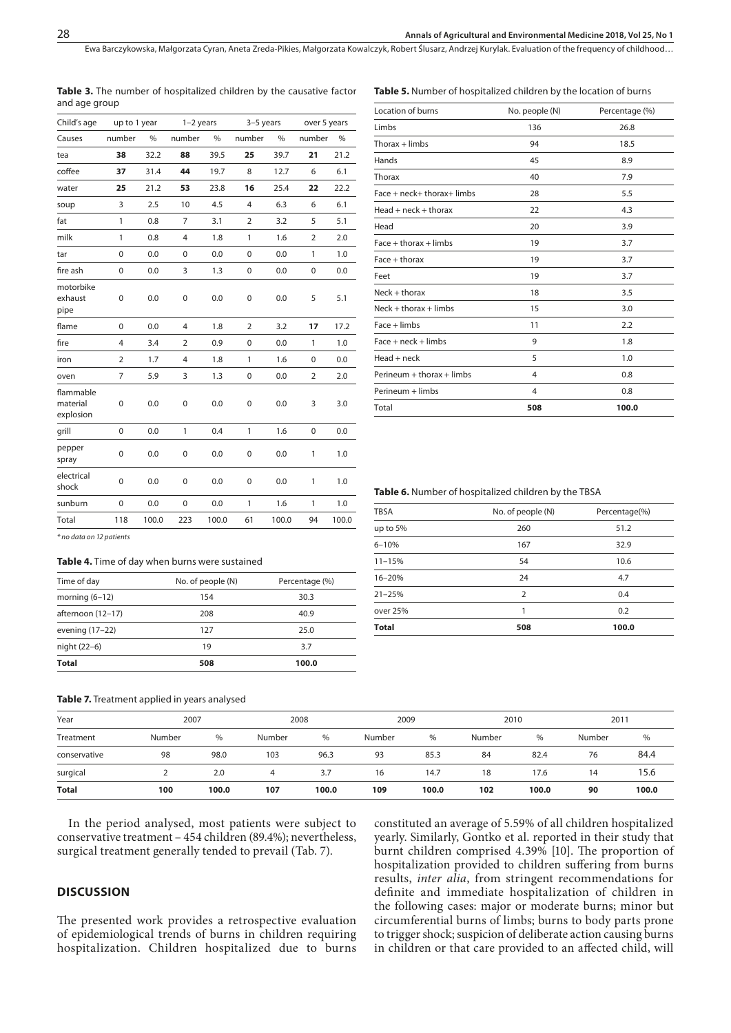Ewa Barczykowska, Małgorzata Cyran, Aneta Zreda-Pikies, Małgorzata Kowalczyk, Robert Ślusarz, Andrzej Kurylak . Evaluation of the frequency of childhood…

| Child's age                        |                | up to 1 year |                | $1-2$ years |                | $3-5$ years | over 5 years   |       |
|------------------------------------|----------------|--------------|----------------|-------------|----------------|-------------|----------------|-------|
| Causes                             | number         | $\%$         | number         | $\%$        | number         | $\%$        | number         | %     |
| tea                                | 38             | 32.2         | 88             | 39.5        | 25             | 39.7        | 21             | 21.2  |
| coffee                             | 37             | 31.4         | 44             | 19.7        | 8              | 12.7        | 6              | 6.1   |
| water                              | 25             | 21.2         | 53             | 23.8        | 16             | 25.4        | 22             | 22.2  |
| soup                               | 3              | 2.5          | 10             | 4.5         | 4              | 6.3         | 6              | 6.1   |
| fat                                | $\mathbf{1}$   | 0.8          | 7              | 3.1         | $\overline{2}$ | 3.2         | 5              | 5.1   |
| milk                               | 1              | 0.8          | 4              | 1.8         | 1              | 1.6         | $\overline{2}$ | 2.0   |
| tar                                | $\mathbf 0$    | 0.0          | 0              | 0.0         | $\mathbf 0$    | 0.0         | 1              | 1.0   |
| fire ash                           | 0              | 0.0          | 3              | 1.3         | $\mathbf 0$    | 0.0         | $\mathbf 0$    | 0.0   |
| motorbike<br>exhaust<br>pipe       | 0              | 0.0          | 0              | 0.0         | $\mathbf 0$    | 0.0         | 5              | 5.1   |
| flame                              | $\mathbf 0$    | 0.0          | $\overline{4}$ | 1.8         | $\overline{2}$ | 3.2         | 17             | 17.2  |
| fire                               | 4              | 3.4          | $\overline{2}$ | 0.9         | 0              | 0.0         | 1              | 1.0   |
| iron                               | $\overline{2}$ | 1.7          | 4              | 1.8         | 1              | 1.6         | 0              | 0.0   |
| oven                               | $\overline{7}$ | 5.9          | 3              | 1.3         | 0              | 0.0         | $\overline{2}$ | 2.0   |
| flammable<br>material<br>explosion | $\mathbf 0$    | 0.0          | $\mathbf 0$    | 0.0         | $\pmb{0}$      | 0.0         | 3              | 3.0   |
| grill                              | 0              | 0.0          | $\mathbf{1}$   | 0.4         | $\mathbf{1}$   | 1.6         | $\pmb{0}$      | 0.0   |
| pepper<br>spray                    | $\mathbf 0$    | 0.0          | $\pmb{0}$      | 0.0         | $\pmb{0}$      | 0.0         | $\mathbf{1}$   | 1.0   |
| electrical<br>shock                | $\mathbf 0$    | 0.0          | 0              | 0.0         | 0              | 0.0         | 1              | 1.0   |
| sunburn                            | 0              | 0.0          | $\pmb{0}$      | 0.0         | 1              | 1.6         | 1              | 1.0   |
| Total                              | 118            | 100.0        | 223            | 100.0       | 61             | 100.0       | 94             | 100.0 |
| * no data on 12 patients           |                |              |                |             |                |             |                |       |

|               | Table 3. The number of hospitalized children by the causative factor |
|---------------|----------------------------------------------------------------------|
| and age group |                                                                      |

#### **Table 5.** Number of hospitalized children by the location of burns

| Location of burns          | No. people (N) | Percentage (%) |
|----------------------------|----------------|----------------|
| Limbs                      | 136            | 26.8           |
| $Thorax + limbs$           | 94             | 18.5           |
| Hands                      | 45             | 8.9            |
| Thorax                     | 40             | 7.9            |
| Face + neck+ thorax+ limbs | 28             | 5.5            |
| $Head + neck + thorax$     | 22             | 4.3            |
| Head                       | 20             | 3.9            |
| $Face + thorax + limbs$    | 19             | 3.7            |
| $Face + thorax$            | 19             | 3.7            |
| Feet                       | 19             | 3.7            |
| $Neck + thorax$            | 18             | 3.5            |
| $Neck + thorax + limbs$    | 15             | 3.0            |
| $Face + limbs$             | 11             | 2.2            |
| $Face + neck + limbs$      | 9              | 1.8            |
| $Head + neck$              | 5              | 1.0            |
| Perineum + thorax + limbs  | 4              | 0.8            |
| Perineum + limbs           | 4              | 0.8            |
| Total                      | 508            | 100.0          |

#### **Table 6.** Number of hospitalized children by the TBSA

## **Table 4.** Time of day when burns were sustained

| Time of day       | No. of people (N) | Percentage (%) |  |  |
|-------------------|-------------------|----------------|--|--|
| morning $(6-12)$  | 154               | 30.3           |  |  |
| afternoon (12-17) | 208               | 40.9           |  |  |
| evening (17-22)   | 127               | 25.0           |  |  |
| night (22-6)      | 19                | 3.7            |  |  |
| Total             | 508               | 100.0          |  |  |

| <b>TBSA</b>  | No. of people (N) | Percentage(%) |
|--------------|-------------------|---------------|
| up to 5%     | 260               | 51.2          |
| $6 - 10%$    | 167               | 32.9          |
| $11 - 15%$   | 54                | 10.6          |
| 16-20%       | 24                | 4.7           |
| $21 - 25%$   | $\overline{2}$    | 0.4           |
| over 25%     | 1                 | 0.2           |
| <b>Total</b> | 508               | 100.0         |

#### **Table 7.** Treatment applied in years analysed

| Year         | 2007   |       | 2008   |       | 2009   |       | 2010   |       | 2011   |       |
|--------------|--------|-------|--------|-------|--------|-------|--------|-------|--------|-------|
| Treatment    | Number | %     | Number | $\%$  | Number | %     | Number | $\%$  | Number | $\%$  |
| conservative | 98     | 98.0  | 103    | 96.3  | 93     | 85.3  | 84     | 82.4  | 76     | 84.4  |
| surgical     |        | 2.0   | 4      | 3.7   | 16     | 14.7  | 18     | 17.6  | 14     | 15.6  |
| <b>Total</b> | 100    | 100.0 | 107    | 100.0 | 109    | 100.0 | 102    | 100.0 | 90     | 100.0 |

In the period analysed, most patients were subject to conservative treatment – 454 children (89.4%); nevertheless, surgical treatment generally tended to prevail (Tab. 7).

# **DISCUSSION**

The presented work provides a retrospective evaluation of epidemiological trends of burns in children requiring hospitalization. Children hospitalized due to burns constituted an average of 5.59% of all children hospitalized yearly. Similarly, Gontko et al. reported in their study that burnt children comprised 4.39% [10]. The proportion of hospitalization provided to children suffering from burns results, *inter alia*, from stringent recommendations for definite and immediate hospitalization of children in the following cases: major or moderate burns; minor but circumferential burns of limbs; burns to body parts prone to trigger shock; suspicion of deliberate action causing burns in children or that care provided to an affected child, will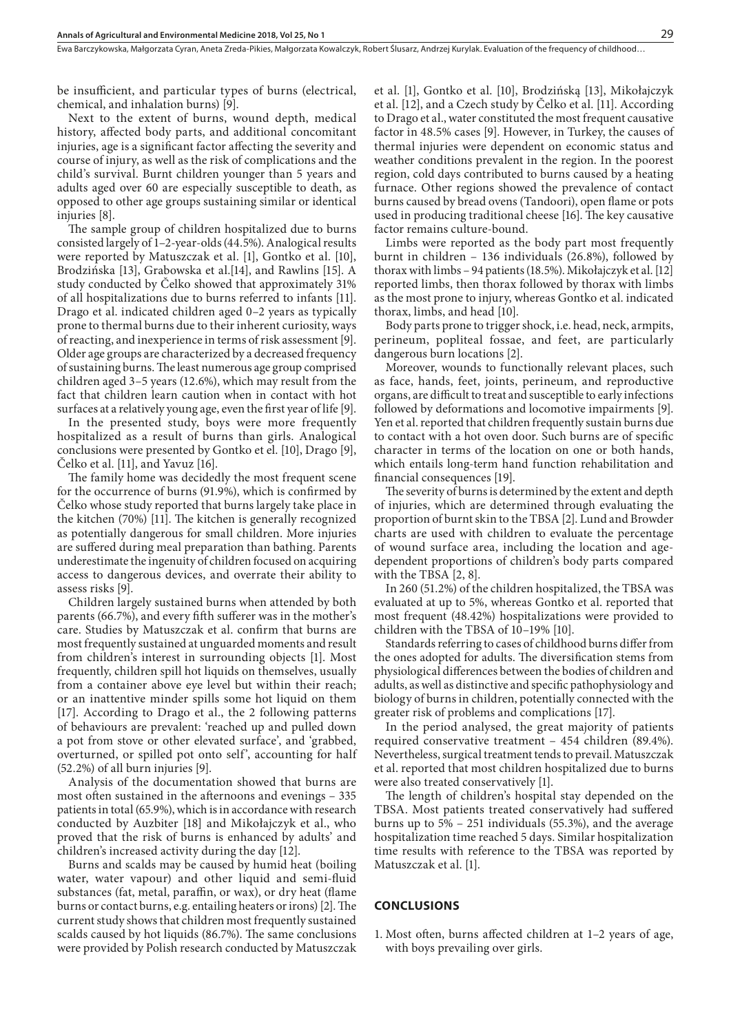Ewa Barczykowska, Małgorzata Cyran, Aneta Zreda-Pikies, Małgorzata Kowalczyk, Robert Ślusarz, Andrzej Kurylak . Evaluation of the frequency of childhood…

be insufficient, and particular types of burns (electrical, chemical, and inhalation burns) [9].

Next to the extent of burns, wound depth, medical history, affected body parts, and additional concomitant injuries, age is a significant factor affecting the severity and course of injury, as well as the risk of complications and the child's survival. Burnt children younger than 5 years and adults aged over 60 are especially susceptible to death, as opposed to other age groups sustaining similar or identical injuries [8].

The sample group of children hospitalized due to burns consisted largely of 1–2-year-olds (44.5%). Analogical results were reported by Matuszczak et al. [1], Gontko et al. [10], Brodzińska [13], Grabowska et al.[14], and Rawlins [15]. A study conducted by Čelko showed that approximately 31% of all hospitalizations due to burns referred to infants [11]. Drago et al. indicated children aged 0–2 years as typically prone to thermal burns due to their inherent curiosity, ways of reacting, and inexperience in terms of risk assessment [9]. Older age groups are characterized by a decreased frequency of sustaining burns. The least numerous age group comprised children aged 3–5 years (12.6%), which may result from the fact that children learn caution when in contact with hot surfaces at a relatively young age, even the first year of life [9].

In the presented study, boys were more frequently hospitalized as a result of burns than girls. Analogical conclusions were presented by Gontko et el. [10], Drago [9], Čelko et al. [11], and Yavuz [16].

The family home was decidedly the most frequent scene for the occurrence of burns (91.9%), which is confirmed by Čelko whose study reported that burns largely take place in the kitchen (70%) [11]. The kitchen is generally recognized as potentially dangerous for small children. More injuries are suffered during meal preparation than bathing. Parents underestimate the ingenuity of children focused on acquiring access to dangerous devices, and overrate their ability to assess risks [9].

Children largely sustained burns when attended by both parents (66.7%), and every fifth sufferer was in the mother's care. Studies by Matuszczak et al. confirm that burns are most frequently sustained at unguarded moments and result from children's interest in surrounding objects [1]. Most frequently, children spill hot liquids on themselves, usually from a container above eye level but within their reach; or an inattentive minder spills some hot liquid on them [17]. According to Drago et al., the 2 following patterns of behaviours are prevalent: 'reached up and pulled down a pot from stove or other elevated surface', and 'grabbed, overturned, or spilled pot onto self', accounting for half (52.2%) of all burn injuries [9].

Analysis of the documentation showed that burns are most often sustained in the afternoons and evenings – 335 patients in total (65.9%), which is in accordance with research conducted by Auzbiter [18] and Mikołajczyk et al., who proved that the risk of burns is enhanced by adults' and children's increased activity during the day [12].

Burns and scalds may be caused by humid heat (boiling water, water vapour) and other liquid and semi-fluid substances (fat, metal, paraffin, or wax), or dry heat (flame burns or contact burns, e.g. entailing heaters or irons) [2]. The current study shows that children most frequently sustained scalds caused by hot liquids (86.7%). The same conclusions were provided by Polish research conducted by Matuszczak et al. [1], Gontko et al. [10], Brodzińską [13], Mikołajczyk et al. [12], and a Czech study by Čelko et al. [11]. According to Drago et al., water constituted the most frequent causative factor in 48.5% cases [9]. However, in Turkey, the causes of thermal injuries were dependent on economic status and weather conditions prevalent in the region. In the poorest region, cold days contributed to burns caused by a heating furnace. Other regions showed the prevalence of contact burns caused by bread ovens (Tandoori), open flame or pots used in producing traditional cheese [16]. The key causative factor remains culture-bound.

Limbs were reported as the body part most frequently burnt in children – 136 individuals (26.8%), followed by thorax with limbs – 94 patients (18.5%). Mikołajczyk et al. [12] reported limbs, then thorax followed by thorax with limbs as the most prone to injury, whereas Gontko et al. indicated thorax, limbs, and head [10].

Body parts prone to trigger shock, i.e. head, neck, armpits, perineum, popliteal fossae, and feet, are particularly dangerous burn locations [2].

Moreover, wounds to functionally relevant places, such as face, hands, feet, joints, perineum, and reproductive organs, are difficult to treat and susceptible to early infections followed by deformations and locomotive impairments [9]. Yen et al. reported that children frequently sustain burns due to contact with a hot oven door. Such burns are of specific character in terms of the location on one or both hands, which entails long-term hand function rehabilitation and financial consequences [19].

The severity of burns is determined by the extent and depth of injuries, which are determined through evaluating the proportion of burnt skin to the TBSA [2]. Lund and Browder charts are used with children to evaluate the percentage of wound surface area, including the location and agedependent proportions of children's body parts compared with the TBSA [2, 8].

In 260 (51.2%) of the children hospitalized, the TBSA was evaluated at up to 5%, whereas Gontko et al. reported that most frequent (48.42%) hospitalizations were provided to children with the TBSA of 10–19% [10].

Standards referring to cases of childhood burns differ from the ones adopted for adults. The diversification stems from physiological differences between the bodies of children and adults, as well as distinctive and specific pathophysiology and biology of burns in children, potentially connected with the greater risk of problems and complications [17].

In the period analysed, the great majority of patients required conservative treatment – 454 children (89.4%). Nevertheless, surgical treatment tends to prevail. Matuszczak et al. reported that most children hospitalized due to burns were also treated conservatively [1].

The length of children's hospital stay depended on the TBSA. Most patients treated conservatively had suffered burns up to 5% – 251 individuals (55.3%), and the average hospitalization time reached 5 days. Similar hospitalization time results with reference to the TBSA was reported by Matuszczak et al. [1].

## **CONCLUSIONS**

1. Most often, burns affected children at 1–2 years of age, with boys prevailing over girls.